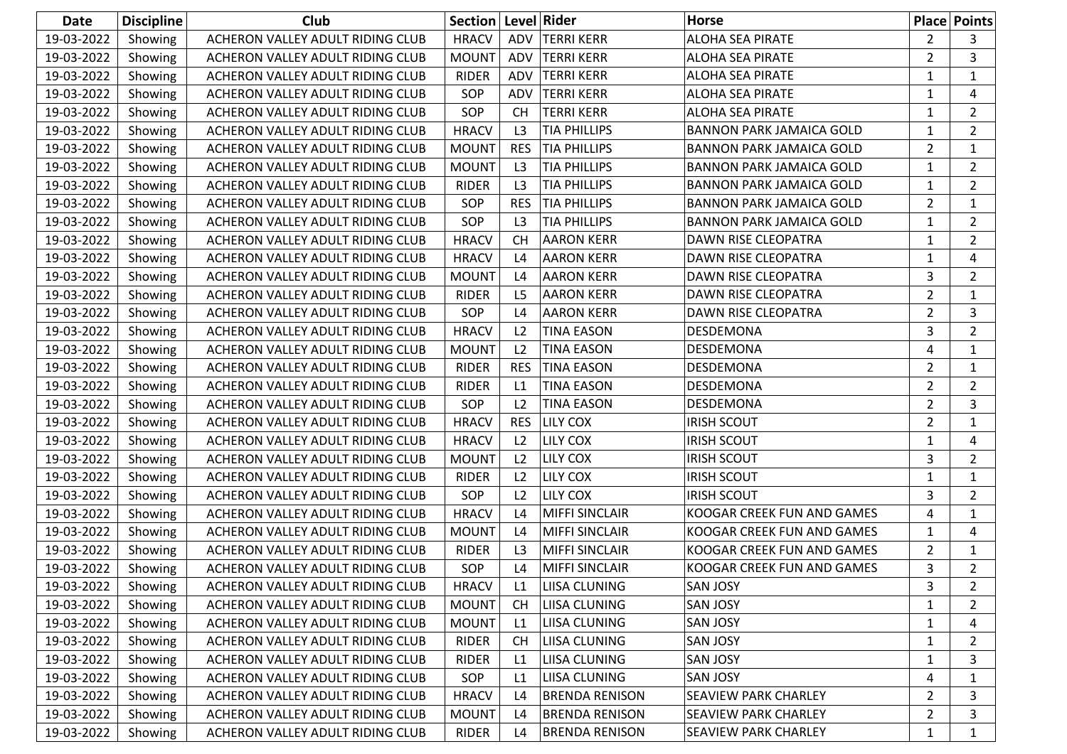| <b>Date</b> | <b>Discipline</b> | Club                             | Section      |                | Level Rider           | <b>Horse</b>                    |                | <b>Place Points</b> |
|-------------|-------------------|----------------------------------|--------------|----------------|-----------------------|---------------------------------|----------------|---------------------|
| 19-03-2022  | Showing           | ACHERON VALLEY ADULT RIDING CLUB | <b>HRACV</b> | ADV            | <b>TERRI KERR</b>     | ALOHA SEA PIRATE                | $\overline{2}$ | 3                   |
| 19-03-2022  | Showing           | ACHERON VALLEY ADULT RIDING CLUB | <b>MOUNT</b> | ADV            | <b>TERRI KERR</b>     | <b>ALOHA SEA PIRATE</b>         | $\overline{2}$ | 3                   |
| 19-03-2022  | Showing           | ACHERON VALLEY ADULT RIDING CLUB | <b>RIDER</b> | ADV            | <b>TERRI KERR</b>     | ALOHA SEA PIRATE                | 1              | 1                   |
| 19-03-2022  | Showing           | ACHERON VALLEY ADULT RIDING CLUB | SOP          | ADV            | <b>TERRI KERR</b>     | <b>ALOHA SEA PIRATE</b>         | 1              | 4                   |
| 19-03-2022  | Showing           | ACHERON VALLEY ADULT RIDING CLUB | SOP          | <b>CH</b>      | <b>TERRI KERR</b>     | <b>ALOHA SEA PIRATE</b>         | 1              | $\overline{2}$      |
| 19-03-2022  | Showing           | ACHERON VALLEY ADULT RIDING CLUB | <b>HRACV</b> | L <sub>3</sub> | <b>TIA PHILLIPS</b>   | <b>BANNON PARK JAMAICA GOLD</b> | 1              | $2^{\circ}$         |
| 19-03-2022  | Showing           | ACHERON VALLEY ADULT RIDING CLUB | <b>MOUNT</b> | <b>RES</b>     | <b>TIA PHILLIPS</b>   | <b>BANNON PARK JAMAICA GOLD</b> | $\overline{2}$ | $\mathbf{1}$        |
| 19-03-2022  | Showing           | ACHERON VALLEY ADULT RIDING CLUB | <b>MOUNT</b> | L <sub>3</sub> | <b>TIA PHILLIPS</b>   | <b>BANNON PARK JAMAICA GOLD</b> | 1              | $\overline{a}$      |
| 19-03-2022  | Showing           | ACHERON VALLEY ADULT RIDING CLUB | <b>RIDER</b> | L3             | <b>TIA PHILLIPS</b>   | <b>BANNON PARK JAMAICA GOLD</b> | 1              | 2                   |
| 19-03-2022  | Showing           | ACHERON VALLEY ADULT RIDING CLUB | SOP          | <b>RES</b>     | <b>TIA PHILLIPS</b>   | <b>BANNON PARK JAMAICA GOLD</b> | $\overline{2}$ | $\mathbf 1$         |
| 19-03-2022  | Showing           | ACHERON VALLEY ADULT RIDING CLUB | SOP          | L <sub>3</sub> | <b>TIA PHILLIPS</b>   | <b>BANNON PARK JAMAICA GOLD</b> | 1              | $\overline{2}$      |
| 19-03-2022  | Showing           | ACHERON VALLEY ADULT RIDING CLUB | <b>HRACV</b> | <b>CH</b>      | <b>AARON KERR</b>     | DAWN RISE CLEOPATRA             | $\mathbf{1}$   | $\overline{a}$      |
| 19-03-2022  | Showing           | ACHERON VALLEY ADULT RIDING CLUB | <b>HRACV</b> | L4             | <b>AARON KERR</b>     | DAWN RISE CLEOPATRA             | 1              | 4                   |
| 19-03-2022  | Showing           | ACHERON VALLEY ADULT RIDING CLUB | <b>MOUNT</b> | L4             | <b>AARON KERR</b>     | DAWN RISE CLEOPATRA             | 3              | $\overline{2}$      |
| 19-03-2022  | Showing           | ACHERON VALLEY ADULT RIDING CLUB | <b>RIDER</b> | L5             | <b>AARON KERR</b>     | DAWN RISE CLEOPATRA             | 2              | 1                   |
| 19-03-2022  | Showing           | ACHERON VALLEY ADULT RIDING CLUB | SOP          | L4             | <b>AARON KERR</b>     | DAWN RISE CLEOPATRA             | $\overline{2}$ | 3                   |
| 19-03-2022  | Showing           | ACHERON VALLEY ADULT RIDING CLUB | <b>HRACV</b> | L <sub>2</sub> | <b>TINA EASON</b>     | DESDEMONA                       | 3              | $\overline{2}$      |
| 19-03-2022  | Showing           | ACHERON VALLEY ADULT RIDING CLUB | <b>MOUNT</b> | L <sub>2</sub> | <b>TINA EASON</b>     | DESDEMONA                       | 4              | 1                   |
| 19-03-2022  | Showing           | ACHERON VALLEY ADULT RIDING CLUB | <b>RIDER</b> | <b>RES</b>     | <b>TINA EASON</b>     | DESDEMONA                       | $\overline{2}$ | 1                   |
| 19-03-2022  | Showing           | ACHERON VALLEY ADULT RIDING CLUB | <b>RIDER</b> | L1             | <b>TINA EASON</b>     | DESDEMONA                       | 2              | $\overline{2}$      |
| 19-03-2022  | Showing           | ACHERON VALLEY ADULT RIDING CLUB | SOP          | L <sub>2</sub> | <b>TINA EASON</b>     | DESDEMONA                       | $\overline{2}$ | 3                   |
| 19-03-2022  | Showing           | ACHERON VALLEY ADULT RIDING CLUB | <b>HRACV</b> | <b>RES</b>     | <b>LILY COX</b>       | <b>IRISH SCOUT</b>              | $\overline{2}$ | $\mathbf 1$         |
| 19-03-2022  | Showing           | ACHERON VALLEY ADULT RIDING CLUB | <b>HRACV</b> | L <sub>2</sub> | <b>LILY COX</b>       | <b>IRISH SCOUT</b>              | 1              | 4                   |
| 19-03-2022  | Showing           | ACHERON VALLEY ADULT RIDING CLUB | <b>MOUNT</b> | L <sub>2</sub> | <b>LILY COX</b>       | <b>IRISH SCOUT</b>              | 3              | $\overline{2}$      |
| 19-03-2022  | Showing           | ACHERON VALLEY ADULT RIDING CLUB | <b>RIDER</b> | L <sub>2</sub> | LILY COX              | <b>IRISH SCOUT</b>              | 1              | 1                   |
| 19-03-2022  | Showing           | ACHERON VALLEY ADULT RIDING CLUB | SOP          | L <sub>2</sub> | <b>LILY COX</b>       | <b>IRISH SCOUT</b>              | 3              | $2^{\circ}$         |
| 19-03-2022  | Showing           | ACHERON VALLEY ADULT RIDING CLUB | <b>HRACV</b> | L4             | <b>MIFFI SINCLAIR</b> | KOOGAR CREEK FUN AND GAMES      | 4              | $\mathbf 1$         |
| 19-03-2022  | Showing           | ACHERON VALLEY ADULT RIDING CLUB | <b>MOUNT</b> | L <sub>4</sub> | <b>MIFFI SINCLAIR</b> | KOOGAR CREEK FUN AND GAMES      | 1              | 4                   |
| 19-03-2022  | Showing           | ACHERON VALLEY ADULT RIDING CLUB | <b>RIDER</b> | L <sub>3</sub> | <b>MIFFI SINCLAIR</b> | KOOGAR CREEK FUN AND GAMES      | 2              | 1                   |
| 19-03-2022  | Showing           | ACHERON VALLEY ADULT RIDING CLUB | SOP          | L4             | <b>MIFFI SINCLAIR</b> | KOOGAR CREEK FUN AND GAMES      | 3              | $\overline{2}$      |
| 19-03-2022  | Showing           | ACHERON VALLEY ADULT RIDING CLUB | <b>HRACV</b> | L1             | <b>LIISA CLUNING</b>  | <b>SAN JOSY</b>                 | 3              | $\overline{2}$      |
| 19-03-2022  | Showing           | ACHERON VALLEY ADULT RIDING CLUB | <b>MOUNT</b> | <b>CH</b>      | LIISA CLUNING         | <b>SAN JOSY</b>                 | 1              | $\mathbf{2}$        |
| 19-03-2022  | Showing           | ACHERON VALLEY ADULT RIDING CLUB | <b>MOUNT</b> | L1             | LIISA CLUNING         | <b>SAN JOSY</b>                 | 1              | 4                   |
| 19-03-2022  | Showing           | ACHERON VALLEY ADULT RIDING CLUB | RIDER        | <b>CH</b>      | LIISA CLUNING         | <b>SAN JOSY</b>                 | 1              | $\overline{a}$      |
| 19-03-2022  | Showing           | ACHERON VALLEY ADULT RIDING CLUB | RIDER        | L1             | LIISA CLUNING         | <b>SAN JOSY</b>                 | $\mathbf{1}$   | 3                   |
| 19-03-2022  | Showing           | ACHERON VALLEY ADULT RIDING CLUB | SOP          | L1             | LIISA CLUNING         | <b>SAN JOSY</b>                 | 4              | 1                   |
| 19-03-2022  | Showing           | ACHERON VALLEY ADULT RIDING CLUB | <b>HRACV</b> | L4             | <b>BRENDA RENISON</b> | SEAVIEW PARK CHARLEY            | 2              | 3                   |
| 19-03-2022  | Showing           | ACHERON VALLEY ADULT RIDING CLUB | <b>MOUNT</b> | L <sub>4</sub> | <b>BRENDA RENISON</b> | SEAVIEW PARK CHARLEY            | 2              | 3                   |
| 19-03-2022  | Showing           | ACHERON VALLEY ADULT RIDING CLUB | <b>RIDER</b> | L <sub>4</sub> | <b>BRENDA RENISON</b> | SEAVIEW PARK CHARLEY            | 1              | $\mathbf{1}$        |